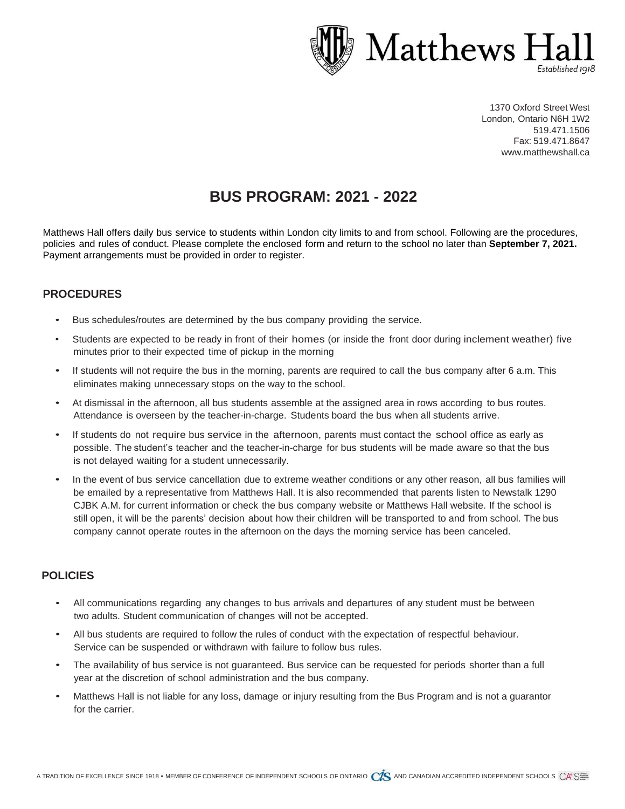

1370 Oxford Street West London, Ontario N6H 1W2 519.471.1506 Fax: 519.471.8647 [www.matthewshall.ca](http://www.matthewshall.ca/)

# **BUS PROGRAM: 2021 - 2022**

Matthews Hall offers daily bus service to students within London city limits to and from school. Following are the procedures, policies and rules of conduct. Please complete the enclosed form and return to the school no later than **September 7, 2021.** Payment arrangements must be provided in order to register.

## **PROCEDURES**

- Bus schedules/routes are determined by the bus company providing the service.
- Students are expected to be ready in front of their homes (or inside the front door during inclement weather) five minutes prior to their expected time of pickup in the morning
- If students will not require the bus in the morning, parents are required to call the bus company after 6 a.m. This eliminates making unnecessary stops on the way to the school.
- At dismissal in the afternoon, all bus students assemble at the assigned area in rows according to bus routes. Attendance is overseen by the teacher-in-charge. Students board the bus when all students arrive.
- If students do not require bus service in the afternoon, parents must contact the school office as early as possible. The student's teacher and the teacher-in-charge for bus students will be made aware so that the bus is not delayed waiting for a student unnecessarily.
- In the event of bus service cancellation due to extreme weather conditions or any other reason, all bus families will be emailed by a representative from Matthews Hall. It is also recommended that parents listen to Newstalk 1290 CJBK A.M. for current information or check the bus company website or Matthews Hall website. If the school is still open, it will be the parents' decision about how their children will be transported to and from school. The bus company cannot operate routes in the afternoon on the days the morning service has been canceled.

## **POLICIES**

- All communications regarding any changes to bus arrivals and departures of any student must be between two adults. Student communication of changes will not be accepted.
- All bus students are required to follow the rules of conduct with the expectation of respectful behaviour. Service can be suspended or withdrawn with failure to follow bus rules.
- The availability of bus service is not guaranteed. Bus service can be requested for periods shorter than a full year at the discretion of school administration and the bus company.
- Matthews Hall is not liable for any loss, damage or injury resulting from the Bus Program and is not a guarantor for the carrier.